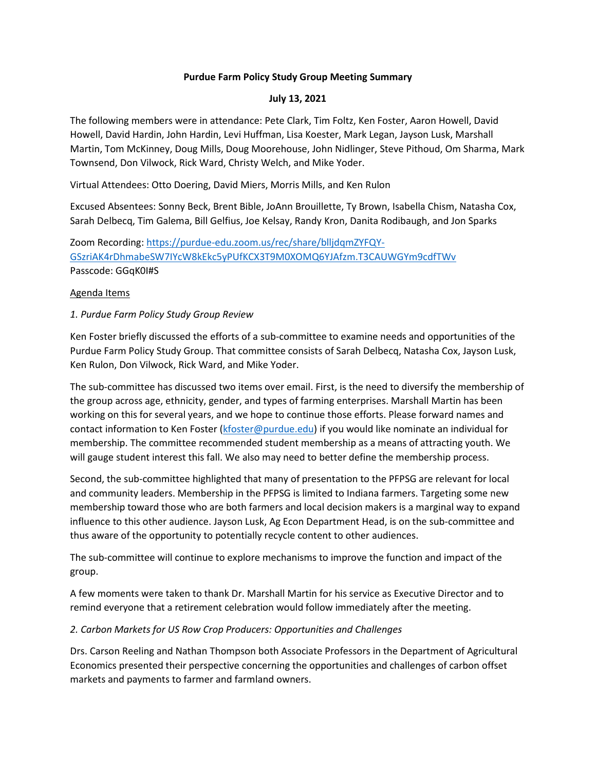### **Purdue Farm Policy Study Group Meeting Summary**

#### **July 13, 2021**

The following members were in attendance: Pete Clark, Tim Foltz, Ken Foster, Aaron Howell, David Howell, David Hardin, John Hardin, Levi Huffman, Lisa Koester, Mark Legan, Jayson Lusk, Marshall Martin, Tom McKinney, Doug Mills, Doug Moorehouse, John Nidlinger, Steve Pithoud, Om Sharma, Mark Townsend, Don Vilwock, Rick Ward, Christy Welch, and Mike Yoder.

Virtual Attendees: Otto Doering, David Miers, Morris Mills, and Ken Rulon

Excused Absentees: Sonny Beck, Brent Bible, JoAnn Brouillette, Ty Brown, Isabella Chism, Natasha Cox, Sarah Delbecq, Tim Galema, Bill Gelfius, Joe Kelsay, Randy Kron, Danita Rodibaugh, and Jon Sparks

Zoom Recording[: https://purdue-edu.zoom.us/rec/share/blljdqmZYFQY-](https://purdue-edu.zoom.us/rec/share/blljdqmZYFQY-GSzriAK4rDhmabeSW7IYcW8kEkc5yPUfKCX3T9M0XOMQ6YJAfzm.T3CAUWGYm9cdfTWv)[GSzriAK4rDhmabeSW7IYcW8kEkc5yPUfKCX3T9M0XOMQ6YJAfzm.T3CAUWGYm9cdfTWv](https://purdue-edu.zoom.us/rec/share/blljdqmZYFQY-GSzriAK4rDhmabeSW7IYcW8kEkc5yPUfKCX3T9M0XOMQ6YJAfzm.T3CAUWGYm9cdfTWv) Passcode: GGqK0I#S

#### Agenda Items

### *1. Purdue Farm Policy Study Group Review*

Ken Foster briefly discussed the efforts of a sub-committee to examine needs and opportunities of the Purdue Farm Policy Study Group. That committee consists of Sarah Delbecq, Natasha Cox, Jayson Lusk, Ken Rulon, Don Vilwock, Rick Ward, and Mike Yoder.

The sub-committee has discussed two items over email. First, is the need to diversify the membership of the group across age, ethnicity, gender, and types of farming enterprises. Marshall Martin has been working on this for several years, and we hope to continue those efforts. Please forward names and contact information to Ken Foster [\(kfoster@purdue.edu\)](mailto:kfoster@purdue.edu) if you would like nominate an individual for membership. The committee recommended student membership as a means of attracting youth. We will gauge student interest this fall. We also may need to better define the membership process.

Second, the sub-committee highlighted that many of presentation to the PFPSG are relevant for local and community leaders. Membership in the PFPSG is limited to Indiana farmers. Targeting some new membership toward those who are both farmers and local decision makers is a marginal way to expand influence to this other audience. Jayson Lusk, Ag Econ Department Head, is on the sub-committee and thus aware of the opportunity to potentially recycle content to other audiences.

The sub-committee will continue to explore mechanisms to improve the function and impact of the group.

A few moments were taken to thank Dr. Marshall Martin for his service as Executive Director and to remind everyone that a retirement celebration would follow immediately after the meeting.

# *2. Carbon Markets for US Row Crop Producers: Opportunities and Challenges*

Drs. Carson Reeling and Nathan Thompson both Associate Professors in the Department of Agricultural Economics presented their perspective concerning the opportunities and challenges of carbon offset markets and payments to farmer and farmland owners.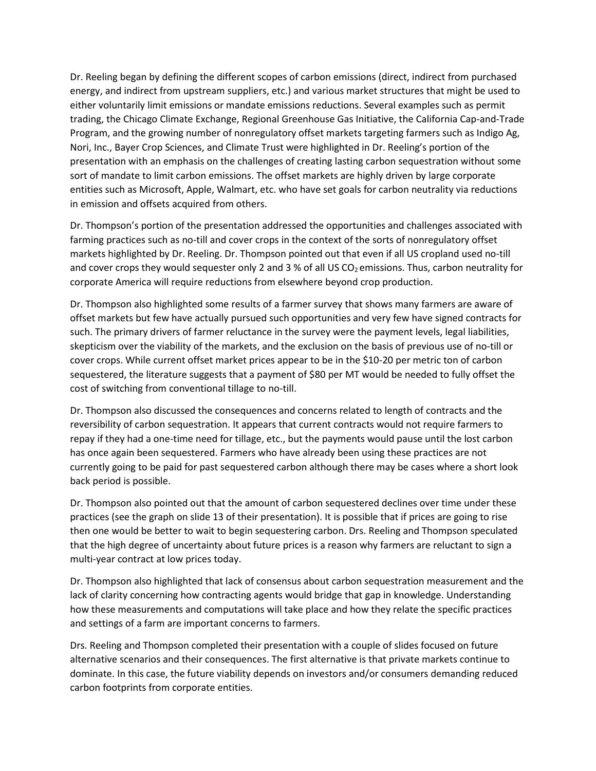Dr. Reeling began by defining the different scopes of carbon emissions (direct, indirect from purchased energy, and indirect from upstream suppliers, etc.) and various market structures that might be used to either voluntarily limit emissions or mandate emissions reductions. Several examples such as permit trading, the Chicago Climate Exchange, Regional Greenhouse Gas Initiative, the California Cap-and-Trade Program, and the growing number of nonregulatory offset markets targeting farmers such as Indigo Ag, Nori, Inc., Bayer Crop Sciences, and Climate Trust were highlighted in Dr. Reeling's portion of the presentation with an emphasis on the challenges of creating lasting carbon sequestration without some sort of mandate to limit carbon emissions. The offset markets are highly driven by large corporate entities such as Microsoft, Apple, Walmart, etc. who have set goals for carbon neutrality via reductions in emission and offsets acquired from others.

Dr. Thompson's portion of the presentation addressed the opportunities and challenges associated with farming practices such as no-till and cover crops in the context of the sorts of nonregulatory offset markets highlighted by Dr. Reeling. Dr. Thompson pointed out that even if all US cropland used no-till and cover crops they would sequester only 2 and 3 % of all US  $CO<sub>2</sub>$  emissions. Thus, carbon neutrality for corporate America will require reductions from elsewhere beyond crop production.

Dr. Thompson also highlighted some results of a farmer survey that shows many farmers are aware of offset markets but few have actually pursued such opportunities and very few have signed contracts for such. The primary drivers of farmer reluctance in the survey were the payment levels, legal liabilities, skepticism over the viability of the markets, and the exclusion on the basis of previous use of no-till or cover crops. While current offset market prices appear to be in the \$10-20 per metric ton of carbon sequestered, the literature suggests that a payment of \$80 per MT would be needed to fully offset the cost of switching from conventional tillage to no-till.

Dr. Thompson also discussed the consequences and concerns related to length of contracts and the reversibility of carbon sequestration. It appears that current contracts would not require farmers to repay if they had a one-time need for tillage, etc., but the payments would pause until the lost carbon has once again been sequestered. Farmers who have already been using these practices are not currently going to be paid for past sequestered carbon although there may be cases where a short look back period is possible.

Dr. Thompson also pointed out that the amount of carbon sequestered declines over time under these practices (see the graph on slide 13 of their presentation). It is possible that if prices are going to rise then one would be better to wait to begin sequestering carbon. Drs. Reeling and Thompson speculated that the high degree of uncertainty about future prices is a reason why farmers are reluctant to sign a multi-year contract at low prices today.

Dr. Thompson also highlighted that lack of consensus about carbon sequestration measurement and the lack of clarity concerning how contracting agents would bridge that gap in knowledge. Understanding how these measurements and computations will take place and how they relate the specific practices and settings of a farm are important concerns to farmers.

Drs. Reeling and Thompson completed their presentation with a couple of slides focused on future alternative scenarios and their consequences. The first alternative is that private markets continue to dominate. In this case, the future viability depends on investors and/or consumers demanding reduced carbon footprints from corporate entities.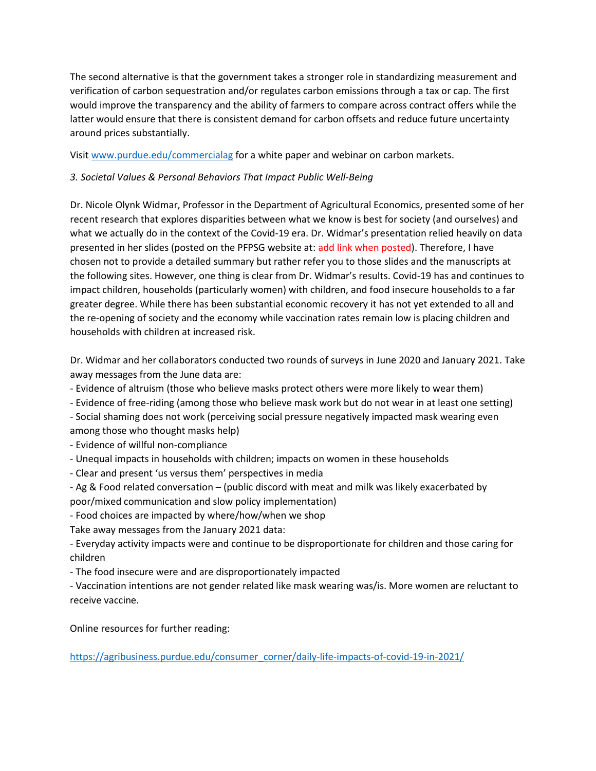The second alternative is that the government takes a stronger role in standardizing measurement and verification of carbon sequestration and/or regulates carbon emissions through a tax or cap. The first would improve the transparency and the ability of farmers to compare across contract offers while the latter would ensure that there is consistent demand for carbon offsets and reduce future uncertainty around prices substantially.

Visit [www.purdue.edu/commercialag](http://www.purdue.edu/commercialag) for a white paper and webinar on carbon markets.

## *3. Societal Values & Personal Behaviors That Impact Public Well-Being*

Dr. Nicole Olynk Widmar, Professor in the Department of Agricultural Economics, presented some of her recent research that explores disparities between what we know is best for society (and ourselves) and what we actually do in the context of the Covid-19 era. Dr. Widmar's presentation relied heavily on data presented in her slides (posted on the PFPSG website at: add link when posted). Therefore, I have chosen not to provide a detailed summary but rather refer you to those slides and the manuscripts at the following sites. However, one thing is clear from Dr. Widmar's results. Covid-19 has and continues to impact children, households (particularly women) with children, and food insecure households to a far greater degree. While there has been substantial economic recovery it has not yet extended to all and the re-opening of society and the economy while vaccination rates remain low is placing children and households with children at increased risk.

Dr. Widmar and her collaborators conducted two rounds of surveys in June 2020 and January 2021. Take away messages from the June data are:

- Evidence of altruism (those who believe masks protect others were more likely to wear them)
- Evidence of free-riding (among those who believe mask work but do not wear in at least one setting)

- Social shaming does not work (perceiving social pressure negatively impacted mask wearing even among those who thought masks help)

- Evidence of willful non-compliance
- Unequal impacts in households with children; impacts on women in these households
- Clear and present 'us versus them' perspectives in media
- Ag & Food related conversation (public discord with meat and milk was likely exacerbated by poor/mixed communication and slow policy implementation)
- Food choices are impacted by where/how/when we shop
- Take away messages from the January 2021 data:
- Everyday activity impacts were and continue to be disproportionate for children and those caring for children
- The food insecure were and are disproportionately impacted
- Vaccination intentions are not gender related like mask wearing was/is. More women are reluctant to receive vaccine.

Online resources for further reading:

[https://agribusiness.purdue.edu/consumer\\_corner/daily-life-impacts-of-covid-19-in-2021/](https://agribusiness.purdue.edu/consumer_corner/daily-life-impacts-of-covid-19-in-2021/)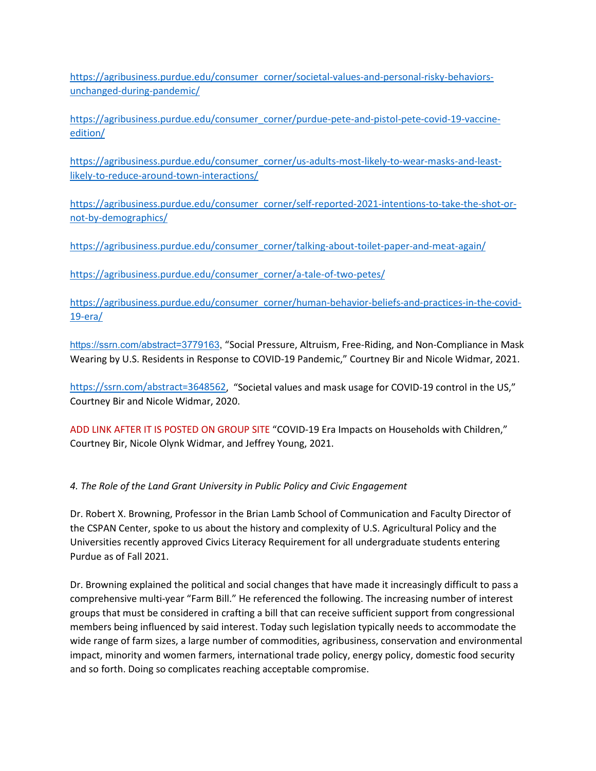[https://agribusiness.purdue.edu/consumer\\_corner/societal-values-and-personal-risky-behaviors](https://agribusiness.purdue.edu/consumer_corner/societal-values-and-personal-risky-behaviors-unchanged-during-pandemic/)[unchanged-during-pandemic/](https://agribusiness.purdue.edu/consumer_corner/societal-values-and-personal-risky-behaviors-unchanged-during-pandemic/)

[https://agribusiness.purdue.edu/consumer\\_corner/purdue-pete-and-pistol-pete-covid-19-vaccine](https://agribusiness.purdue.edu/consumer_corner/purdue-pete-and-pistol-pete-covid-19-vaccine-edition/)[edition/](https://agribusiness.purdue.edu/consumer_corner/purdue-pete-and-pistol-pete-covid-19-vaccine-edition/)

[https://agribusiness.purdue.edu/consumer\\_corner/us-adults-most-likely-to-wear-masks-and-least](https://agribusiness.purdue.edu/consumer_corner/us-adults-most-likely-to-wear-masks-and-least-likely-to-reduce-around-town-interactions/)[likely-to-reduce-around-town-interactions/](https://agribusiness.purdue.edu/consumer_corner/us-adults-most-likely-to-wear-masks-and-least-likely-to-reduce-around-town-interactions/)

[https://agribusiness.purdue.edu/consumer\\_corner/self-reported-2021-intentions-to-take-the-shot-or](https://agribusiness.purdue.edu/consumer_corner/self-reported-2021-intentions-to-take-the-shot-or-not-by-demographics/)[not-by-demographics/](https://agribusiness.purdue.edu/consumer_corner/self-reported-2021-intentions-to-take-the-shot-or-not-by-demographics/)

[https://agribusiness.purdue.edu/consumer\\_corner/talking-about-toilet-paper-and-meat-again/](https://agribusiness.purdue.edu/consumer_corner/talking-about-toilet-paper-and-meat-again/)

[https://agribusiness.purdue.edu/consumer\\_corner/a-tale-of-two-petes/](https://agribusiness.purdue.edu/consumer_corner/a-tale-of-two-petes/)

[https://agribusiness.purdue.edu/consumer\\_corner/human-behavior-beliefs-and-practices-in-the-covid-](https://agribusiness.purdue.edu/consumer_corner/human-behavior-beliefs-and-practices-in-the-covid-19-era/)[19-era/](https://agribusiness.purdue.edu/consumer_corner/human-behavior-beliefs-and-practices-in-the-covid-19-era/)

[https://ssrn.com/abstract=3779163,](https://ssrn.com/abstract=3779163) "Social Pressure, Altruism, Free-Riding, and Non-Compliance in Mask Wearing by U.S. Residents in Response to COVID-19 Pandemic," Courtney Bir and Nicole Widmar, 2021.

[https://ssrn.com/abstract=3648562,](https://ssrn.com/abstract=3648562) "Societal values and mask usage for COVID-19 control in the US," Courtney Bir and Nicole Widmar, 2020.

ADD LINK AFTER IT IS POSTED ON GROUP SITE "COVID-19 Era Impacts on Households with Children," Courtney Bir, Nicole Olynk Widmar, and Jeffrey Young, 2021.

*4. The Role of the Land Grant University in Public Policy and Civic Engagement*

Dr. Robert X. Browning, Professor in the Brian Lamb School of Communication and Faculty Director of the CSPAN Center, spoke to us about the history and complexity of U.S. Agricultural Policy and the Universities recently approved Civics Literacy Requirement for all undergraduate students entering Purdue as of Fall 2021.

Dr. Browning explained the political and social changes that have made it increasingly difficult to pass a comprehensive multi-year "Farm Bill." He referenced the following. The increasing number of interest groups that must be considered in crafting a bill that can receive sufficient support from congressional members being influenced by said interest. Today such legislation typically needs to accommodate the wide range of farm sizes, a large number of commodities, agribusiness, conservation and environmental impact, minority and women farmers, international trade policy, energy policy, domestic food security and so forth. Doing so complicates reaching acceptable compromise.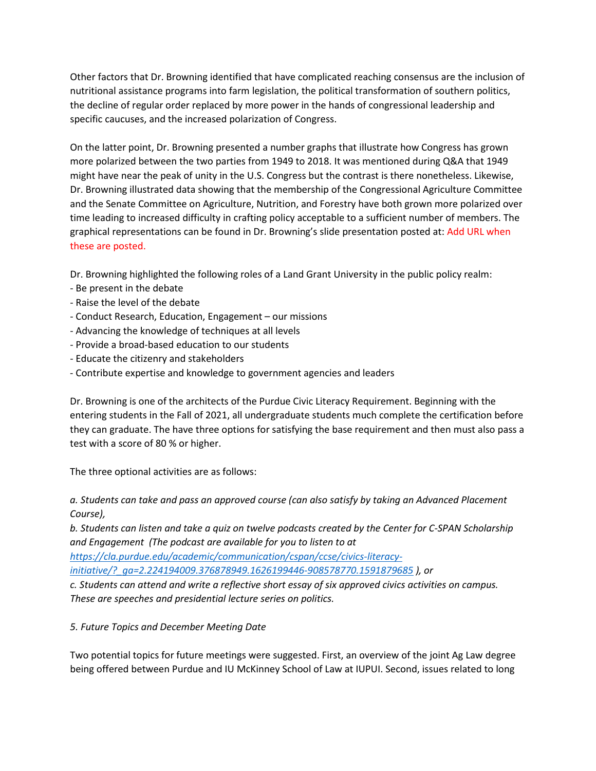Other factors that Dr. Browning identified that have complicated reaching consensus are the inclusion of nutritional assistance programs into farm legislation, the political transformation of southern politics, the decline of regular order replaced by more power in the hands of congressional leadership and specific caucuses, and the increased polarization of Congress.

On the latter point, Dr. Browning presented a number graphs that illustrate how Congress has grown more polarized between the two parties from 1949 to 2018. It was mentioned during Q&A that 1949 might have near the peak of unity in the U.S. Congress but the contrast is there nonetheless. Likewise, Dr. Browning illustrated data showing that the membership of the Congressional Agriculture Committee and the Senate Committee on Agriculture, Nutrition, and Forestry have both grown more polarized over time leading to increased difficulty in crafting policy acceptable to a sufficient number of members. The graphical representations can be found in Dr. Browning's slide presentation posted at: Add URL when these are posted.

Dr. Browning highlighted the following roles of a Land Grant University in the public policy realm:

- Be present in the debate
- Raise the level of the debate
- Conduct Research, Education, Engagement our missions
- Advancing the knowledge of techniques at all levels
- Provide a broad-based education to our students
- Educate the citizenry and stakeholders
- Contribute expertise and knowledge to government agencies and leaders

Dr. Browning is one of the architects of the Purdue Civic Literacy Requirement. Beginning with the entering students in the Fall of 2021, all undergraduate students much complete the certification before they can graduate. The have three options for satisfying the base requirement and then must also pass a test with a score of 80 % or higher.

The three optional activities are as follows:

*a. Students can take and pass an approved course (can also satisfy by taking an Advanced Placement Course),*

*b. Students can listen and take a quiz on twelve podcasts created by the Center for C-SPAN Scholarship and Engagement (The podcast are available for you to listen to at* 

*[https://cla.purdue.edu/academic/communication/cspan/ccse/civics-literacy-](https://cla.purdue.edu/academic/communication/cspan/ccse/civics-literacy-initiative/?_ga=2.224194009.376878949.1626199446-908578770.1591879685)*

*[initiative/?\\_ga=2.224194009.376878949.1626199446-908578770.1591879685](https://cla.purdue.edu/academic/communication/cspan/ccse/civics-literacy-initiative/?_ga=2.224194009.376878949.1626199446-908578770.1591879685) ), or*

*c. Students can attend and write a reflective short essay of six approved civics activities on campus. These are speeches and presidential lecture series on politics.*

# *5. Future Topics and December Meeting Date*

Two potential topics for future meetings were suggested. First, an overview of the joint Ag Law degree being offered between Purdue and IU McKinney School of Law at IUPUI. Second, issues related to long